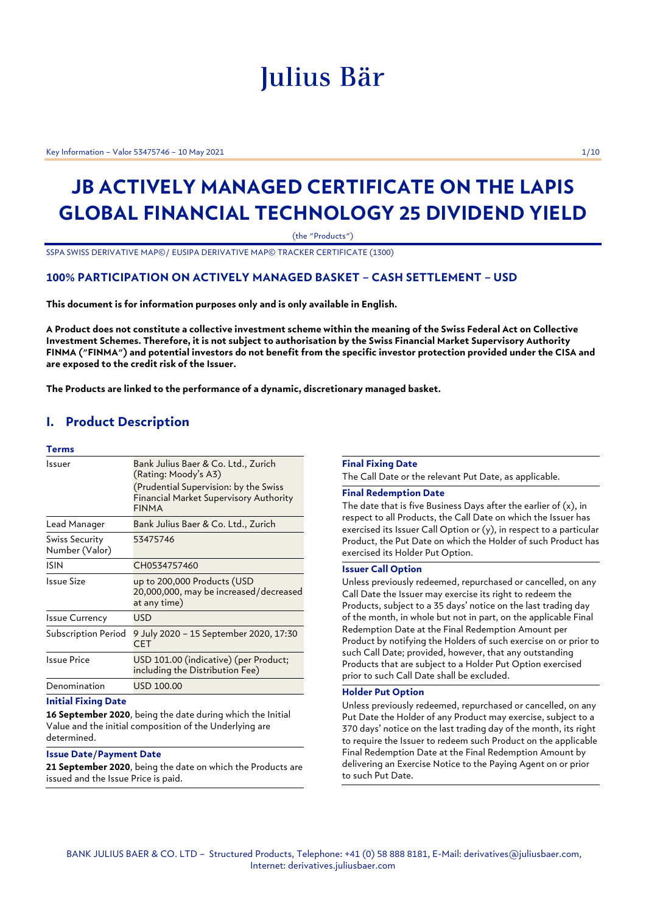# Julius Bär

Key Information – Valor 53475746 – 10 May 2021 1/10

## **JB ACTIVELY MANAGED CERTIFICATE ON THE LAPIS GLOBAL FINANCIAL TECHNOLOGY 25 DIVIDEND YIELD**

(the "Products")

SSPA SWISS DERIVATIVE MAP©/ EUSIPA DERIVATIVE MAP© TRACKER CERTIFICATE (1300)

## **100% PARTICIPATION ON ACTIVELY MANAGED BASKET – CASH SETTLEMENT – USD**

**This document is for information purposes only and is only available in English.**

**A Product does not constitute a collective investment scheme within the meaning of the Swiss Federal Act on Collective Investment Schemes. Therefore, it is not subject to authorisation by the Swiss Financial Market Supervisory Authority FINMA ("FINMA") and potential investors do not benefit from the specific investor protection provided under the CISA and are exposed to the credit risk of the Issuer.**

**The Products are linked to the performance of a dynamic, discretionary managed basket.**

## **I. Product Description**

#### **Terms**

| Issuer                           | Bank Julius Baer & Co. Ltd., Zurich<br>(Rating: Moody's A3)                                     |
|----------------------------------|-------------------------------------------------------------------------------------------------|
|                                  | (Prudential Supervision: by the Swiss<br>Financial Market Supervisory Authority<br><b>FINMA</b> |
| Lead Manager                     | Bank Julius Baer & Co. Ltd., Zurich                                                             |
| Swiss Security<br>Number (Valor) | 53475746                                                                                        |
| ISIN                             | CH0534757460                                                                                    |
| Issue Size                       | up to 200,000 Products (USD<br>20,000,000, may be increased/decreased<br>at any time)           |
| <b>Issue Currency</b>            | USD                                                                                             |
| Subscription Period              | 9 July 2020 – 15 September 2020, 17:30<br>CET                                                   |
| Issue Price                      | USD 101.00 (indicative) (per Product;<br>including the Distribution Fee)                        |
| Denomination                     | USD 100.00                                                                                      |

#### **Initial Fixing Date**

**16 September 2020**, being the date during which the Initial Value and the initial composition of the Underlying are determined.

## **Issue Date/Payment Date**

**21 September 2020**, being the date on which the Products are issued and the Issue Price is paid.

## **Final Fixing Date**

The Call Date or the relevant Put Date, as applicable.

## **Final Redemption Date**

The date that is five Business Days after the earlier of (x), in respect to all Products, the Call Date on which the Issuer has exercised its Issuer Call Option or (y), in respect to a particular Product, the Put Date on which the Holder of such Product has exercised its Holder Put Option.

## **Issuer Call Option**

Unless previously redeemed, repurchased or cancelled, on any Call Date the Issuer may exercise its right to redeem the Products, subject to a 35 days' notice on the last trading day of the month, in whole but not in part, on the applicable Final Redemption Date at the Final Redemption Amount per Product by notifying the Holders of such exercise on or prior to such Call Date; provided, however, that any outstanding Products that are subject to a Holder Put Option exercised prior to such Call Date shall be excluded.

## **Holder Put Option**

Unless previously redeemed, repurchased or cancelled, on any Put Date the Holder of any Product may exercise, subject to a 370 days' notice on the last trading day of the month, its right to require the Issuer to redeem such Product on the applicable Final Redemption Date at the Final Redemption Amount by delivering an Exercise Notice to the Paying Agent on or prior to such Put Date.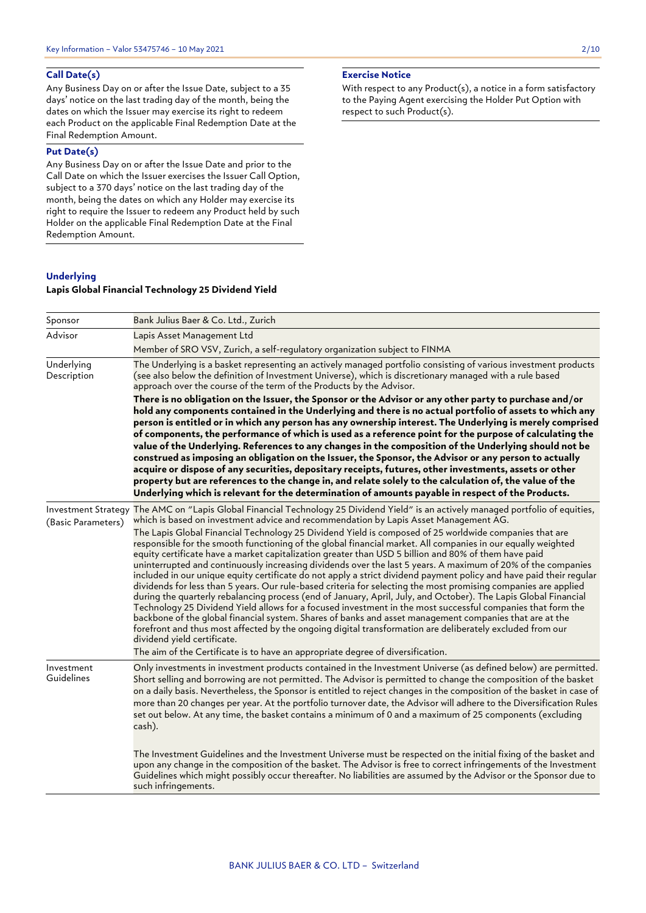## **Call Date(s)**

Any Business Day on or after the Issue Date, subject to a 35 days' notice on the last trading day of the month, being the dates on which the Issuer may exercise its right to redeem each Product on the applicable Final Redemption Date at the Final Redemption Amount.

## **Put Date(s)**

Any Business Day on or after the Issue Date and prior to the Call Date on which the Issuer exercises the Issuer Call Option, subject to a 370 days' notice on the last trading day of the month, being the dates on which any Holder may exercise its right to require the Issuer to redeem any Product held by such Holder on the applicable Final Redemption Date at the Final Redemption Amount.

## **Underlying**

## **Lapis Global Financial Technology 25 Dividend Yield**

With respect to any Product(s), a notice in a form satisfactory to the Paying Agent exercising the Holder Put Option with respect to such Product(s).

| Sponsor                   | Bank Julius Baer & Co. Ltd., Zurich                                                                                                                                                                                                                                                                                                                                                                                                                                                                                                                                                                                                                                                                                                                                                                                                                                                                                                                                                                                                                                                                                                                                                                                                                                                                                                                                                                             |
|---------------------------|-----------------------------------------------------------------------------------------------------------------------------------------------------------------------------------------------------------------------------------------------------------------------------------------------------------------------------------------------------------------------------------------------------------------------------------------------------------------------------------------------------------------------------------------------------------------------------------------------------------------------------------------------------------------------------------------------------------------------------------------------------------------------------------------------------------------------------------------------------------------------------------------------------------------------------------------------------------------------------------------------------------------------------------------------------------------------------------------------------------------------------------------------------------------------------------------------------------------------------------------------------------------------------------------------------------------------------------------------------------------------------------------------------------------|
| Advisor                   | Lapis Asset Management Ltd                                                                                                                                                                                                                                                                                                                                                                                                                                                                                                                                                                                                                                                                                                                                                                                                                                                                                                                                                                                                                                                                                                                                                                                                                                                                                                                                                                                      |
|                           | Member of SRO VSV, Zurich, a self-regulatory organization subject to FINMA                                                                                                                                                                                                                                                                                                                                                                                                                                                                                                                                                                                                                                                                                                                                                                                                                                                                                                                                                                                                                                                                                                                                                                                                                                                                                                                                      |
| Underlying<br>Description | The Underlying is a basket representing an actively managed portfolio consisting of various investment products<br>(see also below the definition of Investment Universe), which is discretionary managed with a rule based<br>approach over the course of the term of the Products by the Advisor.                                                                                                                                                                                                                                                                                                                                                                                                                                                                                                                                                                                                                                                                                                                                                                                                                                                                                                                                                                                                                                                                                                             |
|                           | There is no obligation on the Issuer, the Sponsor or the Advisor or any other party to purchase and/or<br>hold any components contained in the Underlying and there is no actual portfolio of assets to which any<br>person is entitled or in which any person has any ownership interest. The Underlying is merely comprised<br>of components, the performance of which is used as a reference point for the purpose of calculating the<br>value of the Underlying. References to any changes in the composition of the Underlying should not be<br>construed as imposing an obligation on the Issuer, the Sponsor, the Advisor or any person to actually<br>acquire or dispose of any securities, depositary receipts, futures, other investments, assets or other<br>property but are references to the change in, and relate solely to the calculation of, the value of the<br>Underlying which is relevant for the determination of amounts payable in respect of the Products.                                                                                                                                                                                                                                                                                                                                                                                                                            |
| (Basic Parameters)        | Investment Strategy The AMC on "Lapis Global Financial Technology 25 Dividend Yield" is an actively managed portfolio of equities,<br>which is based on investment advice and recommendation by Lapis Asset Management AG.<br>The Lapis Global Financial Technology 25 Dividend Yield is composed of 25 worldwide companies that are<br>responsible for the smooth functioning of the global financial market. All companies in our equally weighted<br>equity certificate have a market capitalization greater than USD 5 billion and 80% of them have paid<br>uninterrupted and continuously increasing dividends over the last 5 years. A maximum of 20% of the companies<br>included in our unique equity certificate do not apply a strict dividend payment policy and have paid their regular<br>dividends for less than 5 years. Our rule-based criteria for selecting the most promising companies are applied<br>during the quarterly rebalancing process (end of January, April, July, and October). The Lapis Global Financial<br>Technology 25 Dividend Yield allows for a focused investment in the most successful companies that form the<br>backbone of the global financial system. Shares of banks and asset management companies that are at the<br>forefront and thus most affected by the ongoing digital transformation are deliberately excluded from our<br>dividend yield certificate. |
|                           | The aim of the Certificate is to have an appropriate degree of diversification.                                                                                                                                                                                                                                                                                                                                                                                                                                                                                                                                                                                                                                                                                                                                                                                                                                                                                                                                                                                                                                                                                                                                                                                                                                                                                                                                 |
| Investment<br>Guidelines  | Only investments in investment products contained in the Investment Universe (as defined below) are permitted.<br>Short selling and borrowing are not permitted. The Advisor is permitted to change the composition of the basket<br>on a daily basis. Nevertheless, the Sponsor is entitled to reject changes in the composition of the basket in case of<br>more than 20 changes per year. At the portfolio turnover date, the Advisor will adhere to the Diversification Rules<br>set out below. At any time, the basket contains a minimum of 0 and a maximum of 25 components (excluding<br>cash).                                                                                                                                                                                                                                                                                                                                                                                                                                                                                                                                                                                                                                                                                                                                                                                                         |
|                           | The Investment Guidelines and the Investment Universe must be respected on the initial fixing of the basket and<br>upon any change in the composition of the basket. The Advisor is free to correct infringements of the Investment<br>Guidelines which might possibly occur thereafter. No liabilities are assumed by the Advisor or the Sponsor due to<br>such infringements.                                                                                                                                                                                                                                                                                                                                                                                                                                                                                                                                                                                                                                                                                                                                                                                                                                                                                                                                                                                                                                 |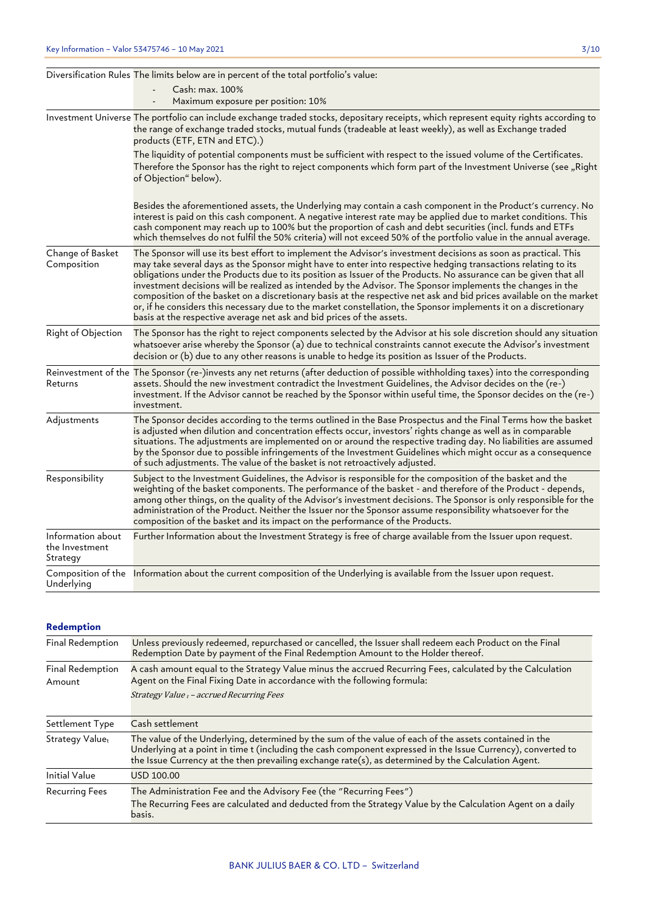|                                                 | Diversification Rules The limits below are in percent of the total portfolio's value:                                                                                                                                                                                                                                                                                                                                                                                                                                                                                                                                                                                                                                                                                                   |
|-------------------------------------------------|-----------------------------------------------------------------------------------------------------------------------------------------------------------------------------------------------------------------------------------------------------------------------------------------------------------------------------------------------------------------------------------------------------------------------------------------------------------------------------------------------------------------------------------------------------------------------------------------------------------------------------------------------------------------------------------------------------------------------------------------------------------------------------------------|
|                                                 | Cash: max. 100%                                                                                                                                                                                                                                                                                                                                                                                                                                                                                                                                                                                                                                                                                                                                                                         |
|                                                 | Maximum exposure per position: 10%                                                                                                                                                                                                                                                                                                                                                                                                                                                                                                                                                                                                                                                                                                                                                      |
|                                                 | Investment Universe The portfolio can include exchange traded stocks, depositary receipts, which represent equity rights according to<br>the range of exchange traded stocks, mutual funds (tradeable at least weekly), as well as Exchange traded<br>products (ETF, ETN and ETC).)                                                                                                                                                                                                                                                                                                                                                                                                                                                                                                     |
|                                                 | The liquidity of potential components must be sufficient with respect to the issued volume of the Certificates.<br>Therefore the Sponsor has the right to reject components which form part of the Investment Universe (see "Right<br>of Objection" below).                                                                                                                                                                                                                                                                                                                                                                                                                                                                                                                             |
|                                                 | Besides the aforementioned assets, the Underlying may contain a cash component in the Product's currency. No<br>interest is paid on this cash component. A negative interest rate may be applied due to market conditions. This<br>cash component may reach up to 100% but the proportion of cash and debt securities (incl. funds and ETFs<br>which themselves do not fulfil the 50% criteria) will not exceed 50% of the portfolio value in the annual average.                                                                                                                                                                                                                                                                                                                       |
| Change of Basket<br>Composition                 | The Sponsor will use its best effort to implement the Advisor's investment decisions as soon as practical. This<br>may take several days as the Sponsor might have to enter into respective hedging transactions relating to its<br>obligations under the Products due to its position as Issuer of the Products. No assurance can be given that all<br>investment decisions will be realized as intended by the Advisor. The Sponsor implements the changes in the<br>composition of the basket on a discretionary basis at the respective net ask and bid prices available on the market<br>or, if he considers this necessary due to the market constellation, the Sponsor implements it on a discretionary<br>basis at the respective average net ask and bid prices of the assets. |
| Right of Objection                              | The Sponsor has the right to reject components selected by the Advisor at his sole discretion should any situation<br>whatsoever arise whereby the Sponsor (a) due to technical constraints cannot execute the Advisor's investment<br>decision or (b) due to any other reasons is unable to hedge its position as Issuer of the Products.                                                                                                                                                                                                                                                                                                                                                                                                                                              |
| Returns                                         | Reinvestment of the The Sponsor (re-)invests any net returns (after deduction of possible withholding taxes) into the corresponding<br>assets. Should the new investment contradict the Investment Guidelines, the Advisor decides on the (re-)<br>investment. If the Advisor cannot be reached by the Sponsor within useful time, the Sponsor decides on the (re-)<br>investment.                                                                                                                                                                                                                                                                                                                                                                                                      |
| Adjustments                                     | The Sponsor decides according to the terms outlined in the Base Prospectus and the Final Terms how the basket<br>is adjusted when dilution and concentration effects occur, investors' rights change as well as in comparable<br>situations. The adjustments are implemented on or around the respective trading day. No liabilities are assumed<br>by the Sponsor due to possible infringements of the Investment Guidelines which might occur as a consequence<br>of such adjustments. The value of the basket is not retroactively adjusted.                                                                                                                                                                                                                                         |
| Responsibility                                  | Subject to the Investment Guidelines, the Advisor is responsible for the composition of the basket and the<br>weighting of the basket components. The performance of the basket - and therefore of the Product - depends,<br>among other things, on the quality of the Advisor's investment decisions. The Sponsor is only responsible for the<br>administration of the Product. Neither the Issuer nor the Sponsor assume responsibility whatsoever for the<br>composition of the basket and its impact on the performance of the Products.                                                                                                                                                                                                                                            |
| Information about<br>the Investment<br>Strategy | Further Information about the Investment Strategy is free of charge available from the Issuer upon request.                                                                                                                                                                                                                                                                                                                                                                                                                                                                                                                                                                                                                                                                             |
| Underlying                                      | Composition of the Information about the current composition of the Underlying is available from the Issuer upon request.                                                                                                                                                                                                                                                                                                                                                                                                                                                                                                                                                                                                                                                               |

## **Redemption**

| Final Redemption           | Unless previously redeemed, repurchased or cancelled, the Issuer shall redeem each Product on the Final<br>Redemption Date by payment of the Final Redemption Amount to the Holder thereof.                                                                                                                                   |
|----------------------------|-------------------------------------------------------------------------------------------------------------------------------------------------------------------------------------------------------------------------------------------------------------------------------------------------------------------------------|
| Final Redemption<br>Amount | A cash amount equal to the Strategy Value minus the accrued Recurring Fees, calculated by the Calculation<br>Agent on the Final Fixing Date in accordance with the following formula:<br>Strategy Value t - accrued Recurring Fees                                                                                            |
| Settlement Type            | Cash settlement                                                                                                                                                                                                                                                                                                               |
| Strategy Valuet            | The value of the Underlying, determined by the sum of the value of each of the assets contained in the<br>Underlying at a point in time t (including the cash component expressed in the Issue Currency), converted to<br>the Issue Currency at the then prevailing exchange rate(s), as determined by the Calculation Agent. |
| Initial Value              | USD 100.00                                                                                                                                                                                                                                                                                                                    |
| <b>Recurring Fees</b>      | The Administration Fee and the Advisory Fee (the "Recurring Fees")<br>The Recurring Fees are calculated and deducted from the Strategy Value by the Calculation Agent on a daily<br>basis.                                                                                                                                    |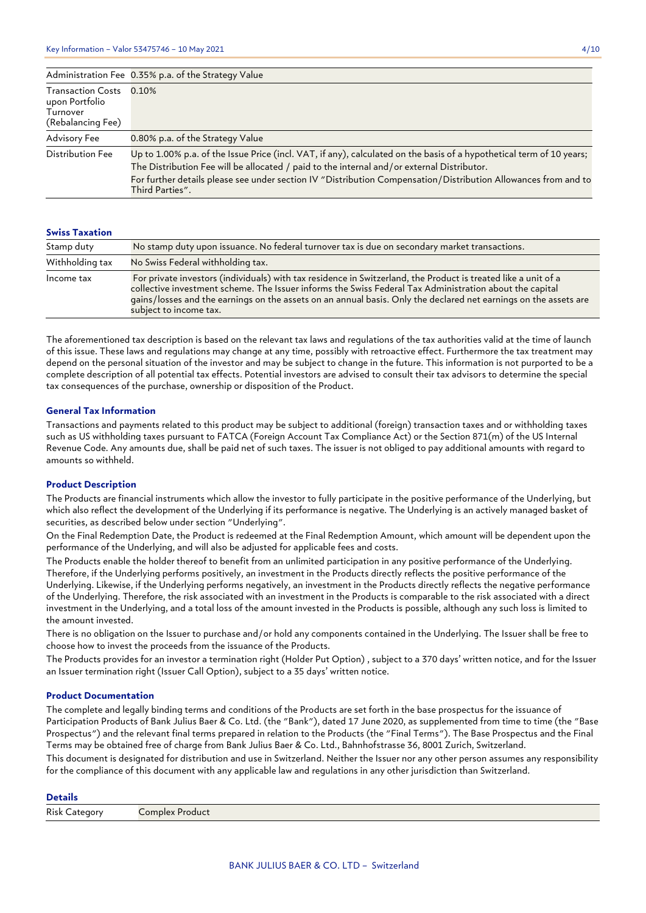|                                                                             | Administration Fee 0.35% p.a. of the Strategy Value                                                                                                                                                                                                                                                                                                     |
|-----------------------------------------------------------------------------|---------------------------------------------------------------------------------------------------------------------------------------------------------------------------------------------------------------------------------------------------------------------------------------------------------------------------------------------------------|
| <b>Transaction Costs</b><br>upon Portfolio<br>Turnover<br>(Rebalancing Fee) | $0.10\%$                                                                                                                                                                                                                                                                                                                                                |
| Advisory Fee                                                                | 0.80% p.a. of the Strategy Value                                                                                                                                                                                                                                                                                                                        |
| Distribution Fee                                                            | Up to 1.00% p.a. of the Issue Price (incl. VAT, if any), calculated on the basis of a hypothetical term of 10 years;<br>The Distribution Fee will be allocated / paid to the internal and/or external Distributor.<br>For further details please see under section IV "Distribution Compensation/Distribution Allowances from and to<br>Third Parties". |

## **Swiss Taxation**

| Stamp duty      | No stamp duty upon issuance. No federal turnover tax is due on secondary market transactions.                                                                                                                                                                                                                                                                           |
|-----------------|-------------------------------------------------------------------------------------------------------------------------------------------------------------------------------------------------------------------------------------------------------------------------------------------------------------------------------------------------------------------------|
| Withholding tax | No Swiss Federal withholding tax.                                                                                                                                                                                                                                                                                                                                       |
| Income tax      | For private investors (individuals) with tax residence in Switzerland, the Product is treated like a unit of a<br>collective investment scheme. The Issuer informs the Swiss Federal Tax Administration about the capital<br>gains/losses and the earnings on the assets on an annual basis. Only the declared net earnings on the assets are<br>subject to income tax. |

The aforementioned tax description is based on the relevant tax laws and regulations of the tax authorities valid at the time of launch of this issue. These laws and regulations may change at any time, possibly with retroactive effect. Furthermore the tax treatment may depend on the personal situation of the investor and may be subject to change in the future. This information is not purported to be a complete description of all potential tax effects. Potential investors are advised to consult their tax advisors to determine the special tax consequences of the purchase, ownership or disposition of the Product.

## **General Tax Information**

Transactions and payments related to this product may be subject to additional (foreign) transaction taxes and or withholding taxes such as US withholding taxes pursuant to FATCA (Foreign Account Tax Compliance Act) or the Section 871(m) of the US Internal Revenue Code. Any amounts due, shall be paid net of such taxes. The issuer is not obliged to pay additional amounts with regard to amounts so withheld.

## **Product Description**

The Products are financial instruments which allow the investor to fully participate in the positive performance of the Underlying, but which also reflect the development of the Underlying if its performance is negative. The Underlying is an actively managed basket of securities, as described below under section "Underlying".

On the Final Redemption Date, the Product is redeemed at the Final Redemption Amount, which amount will be dependent upon the performance of the Underlying, and will also be adjusted for applicable fees and costs.

The Products enable the holder thereof to benefit from an unlimited participation in any positive performance of the Underlying. Therefore, if the Underlying performs positively, an investment in the Products directly reflects the positive performance of the Underlying. Likewise, if the Underlying performs negatively, an investment in the Products directly reflects the negative performance of the Underlying. Therefore, the risk associated with an investment in the Products is comparable to the risk associated with a direct investment in the Underlying, and a total loss of the amount invested in the Products is possible, although any such loss is limited to the amount invested.

There is no obligation on the Issuer to purchase and/or hold any components contained in the Underlying. The Issuer shall be free to choose how to invest the proceeds from the issuance of the Products.

The Products provides for an investor a termination right (Holder Put Option) , subject to a 370 days' written notice, and for the Issuer an Issuer termination right (Issuer Call Option), subject to a 35 days' written notice.

### **Product Documentation**

The complete and legally binding terms and conditions of the Products are set forth in the base prospectus for the issuance of Participation Products of Bank Julius Baer & Co. Ltd. (the "Bank"), dated 17 June 2020, as supplemented from time to time (the "Base Prospectus") and the relevant final terms prepared in relation to the Products (the "Final Terms"). The Base Prospectus and the Final Terms may be obtained free of charge from Bank Julius Baer & Co. Ltd., Bahnhofstrasse 36, 8001 Zurich, Switzerland.

This document is designated for distribution and use in Switzerland. Neither the Issuer nor any other person assumes any responsibility for the compliance of this document with any applicable law and regulations in any other jurisdiction than Switzerland.

### **Details**

Risk Category Complex Product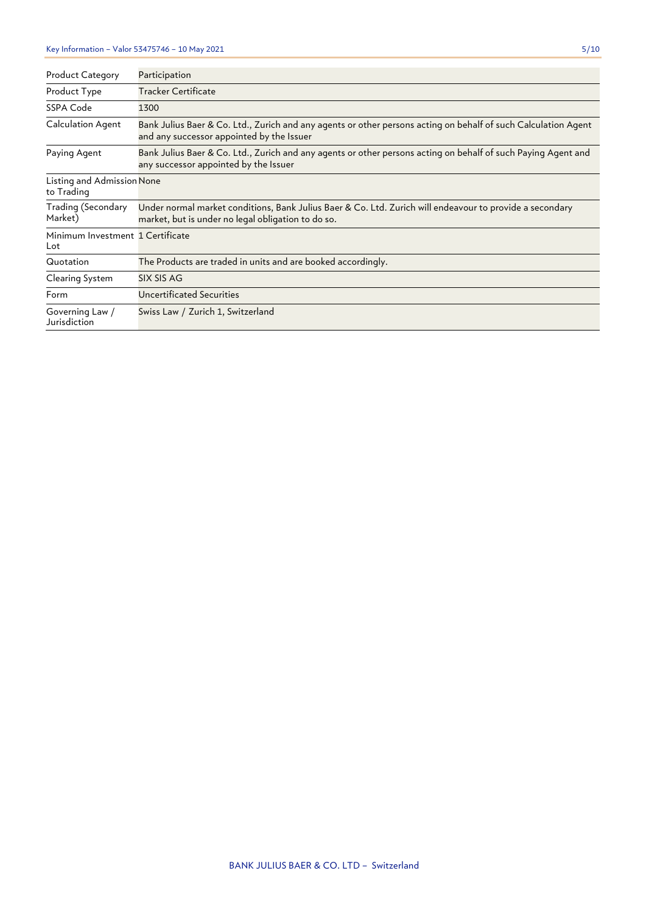| <b>Product Category</b>                  | Participation                                                                                                                                                  |
|------------------------------------------|----------------------------------------------------------------------------------------------------------------------------------------------------------------|
| Product Type                             | Tracker Certificate                                                                                                                                            |
| SSPA Code                                | 1300                                                                                                                                                           |
| Calculation Agent                        | Bank Julius Baer & Co. Ltd., Zurich and any agents or other persons acting on behalf of such Calculation Agent<br>and any successor appointed by the Issuer    |
| Paying Agent                             | Bank Julius Baer & Co. Ltd., Zurich and any agents or other persons acting on behalf of such Paying Agent and<br>any successor appointed by the Issuer         |
| Listing and Admission None<br>to Trading |                                                                                                                                                                |
| Trading (Secondary<br>Market)            | Under normal market conditions, Bank Julius Baer & Co. Ltd. Zurich will endeavour to provide a secondary<br>market, but is under no legal obligation to do so. |
| Minimum Investment 1 Certificate<br>Lot  |                                                                                                                                                                |
| Quotation                                | The Products are traded in units and are booked accordingly.                                                                                                   |
| Clearing System                          | SIX SIS AG                                                                                                                                                     |
| Form                                     | <b>Uncertificated Securities</b>                                                                                                                               |
| Governing Law /<br>Jurisdiction          | Swiss Law / Zurich 1, Switzerland                                                                                                                              |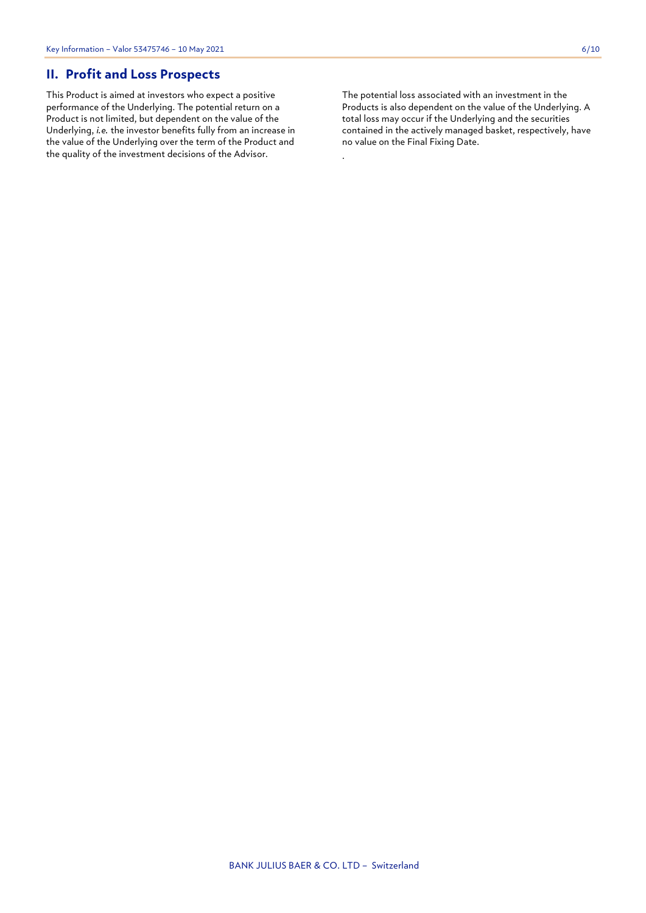## **II. Profit and Loss Prospects**

This Product is aimed at investors who expect a positive performance of the Underlying. The potential return on a Product is not limited, but dependent on the value of the Underlying, *i.e.* the investor benefits fully from an increase in the value of the Underlying over the term of the Product and the quality of the investment decisions of the Advisor.

The potential loss associated with an investment in the Products is also dependent on the value of the Underlying. A total loss may occur if the Underlying and the securities contained in the actively managed basket, respectively, have no value on the Final Fixing Date.

.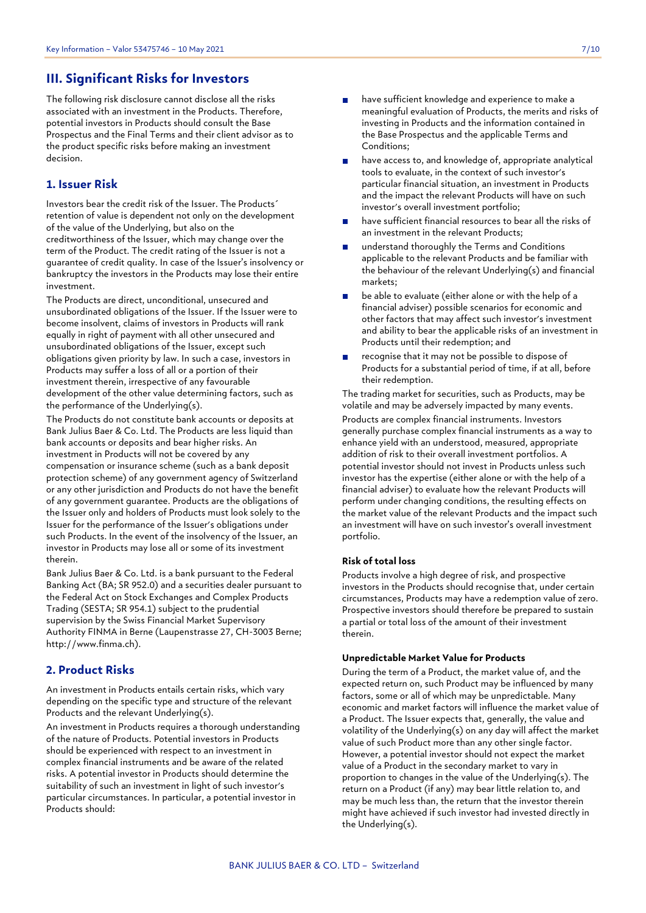## **III. Significant Risks for Investors**

The following risk disclosure cannot disclose all the risks associated with an investment in the Products. Therefore, potential investors in Products should consult the Base Prospectus and the Final Terms and their client advisor as to the product specific risks before making an investment decision.

## **1. Issuer Risk**

Investors bear the credit risk of the Issuer. The Products´ retention of value is dependent not only on the development of the value of the Underlying, but also on the creditworthiness of the Issuer, which may change over the term of the Product. The credit rating of the Issuer is not a guarantee of credit quality. In case of the Issuer's insolvency or bankruptcy the investors in the Products may lose their entire investment.

The Products are direct, unconditional, unsecured and unsubordinated obligations of the Issuer. If the Issuer were to become insolvent, claims of investors in Products will rank equally in right of payment with all other unsecured and unsubordinated obligations of the Issuer, except such obligations given priority by law. In such a case, investors in Products may suffer a loss of all or a portion of their investment therein, irrespective of any favourable development of the other value determining factors, such as the performance of the Underlying(s).

The Products do not constitute bank accounts or deposits at Bank Julius Baer & Co. Ltd. The Products are less liquid than bank accounts or deposits and bear higher risks. An investment in Products will not be covered by any compensation or insurance scheme (such as a bank deposit protection scheme) of any government agency of Switzerland or any other jurisdiction and Products do not have the benefit of any government guarantee. Products are the obligations of the Issuer only and holders of Products must look solely to the Issuer for the performance of the Issuer's obligations under such Products. In the event of the insolvency of the Issuer, an investor in Products may lose all or some of its investment therein.

Bank Julius Baer & Co. Ltd. is a bank pursuant to the Federal Banking Act (BA; SR 952.0) and a securities dealer pursuant to the Federal Act on Stock Exchanges and Complex Products Trading (SESTA; SR 954.1) subject to the prudential supervision by the Swiss Financial Market Supervisory Authority FINMA in Berne (Laupenstrasse 27, CH-3003 Berne; http://www.finma.ch).

## **2. Product Risks**

An investment in Products entails certain risks, which vary depending on the specific type and structure of the relevant Products and the relevant Underlying(s).

An investment in Products requires a thorough understanding of the nature of Products. Potential investors in Products should be experienced with respect to an investment in complex financial instruments and be aware of the related risks. A potential investor in Products should determine the suitability of such an investment in light of such investor's particular circumstances. In particular, a potential investor in Products should:

- have sufficient knowledge and experience to make a meaningful evaluation of Products, the merits and risks of investing in Products and the information contained in the Base Prospectus and the applicable Terms and Conditions;
- have access to, and knowledge of, appropriate analytical tools to evaluate, in the context of such investor's particular financial situation, an investment in Products and the impact the relevant Products will have on such investor's overall investment portfolio;
- have sufficient financial resources to bear all the risks of an investment in the relevant Products;
- understand thoroughly the Terms and Conditions applicable to the relevant Products and be familiar with the behaviour of the relevant Underlying(s) and financial markets;
- be able to evaluate (either alone or with the help of a financial adviser) possible scenarios for economic and other factors that may affect such investor's investment and ability to bear the applicable risks of an investment in Products until their redemption; and
- recognise that it may not be possible to dispose of Products for a substantial period of time, if at all, before their redemption.

The trading market for securities, such as Products, may be volatile and may be adversely impacted by many events. Products are complex financial instruments. Investors generally purchase complex financial instruments as a way to enhance yield with an understood, measured, appropriate addition of risk to their overall investment portfolios. A potential investor should not invest in Products unless such investor has the expertise (either alone or with the help of a financial adviser) to evaluate how the relevant Products will perform under changing conditions, the resulting effects on the market value of the relevant Products and the impact such an investment will have on such investor's overall investment portfolio.

## **Risk of total loss**

Products involve a high degree of risk, and prospective investors in the Products should recognise that, under certain circumstances, Products may have a redemption value of zero. Prospective investors should therefore be prepared to sustain a partial or total loss of the amount of their investment therein.

## **Unpredictable Market Value for Products**

During the term of a Product, the market value of, and the expected return on, such Product may be influenced by many factors, some or all of which may be unpredictable. Many economic and market factors will influence the market value of a Product. The Issuer expects that, generally, the value and volatility of the Underlying(s) on any day will affect the market value of such Product more than any other single factor. However, a potential investor should not expect the market value of a Product in the secondary market to vary in proportion to changes in the value of the Underlying(s). The return on a Product (if any) may bear little relation to, and may be much less than, the return that the investor therein might have achieved if such investor had invested directly in the Underlying(s).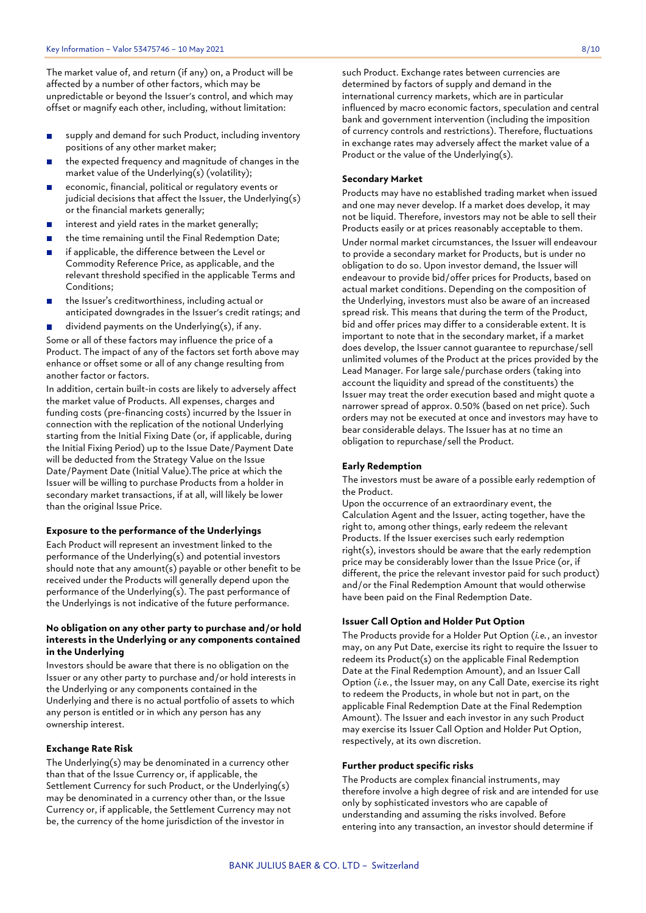The market value of, and return (if any) on, a Product will be affected by a number of other factors, which may be unpredictable or beyond the Issuer's control, and which may offset or magnify each other, including, without limitation:

- supply and demand for such Product, including inventory  $\mathbf{r}$ positions of any other market maker;
- the expected frequency and magnitude of changes in the market value of the Underlying(s) (volatility);
- economic, financial, political or regulatory events or  $\mathbf{r}$ judicial decisions that affect the Issuer, the Underlying(s) or the financial markets generally;
- interest and yield rates in the market generally;  $\blacksquare$
- the time remaining until the Final Redemption Date;  $\blacksquare$
- if applicable, the difference between the Level or  $\blacksquare$ Commodity Reference Price, as applicable, and the relevant threshold specified in the applicable Terms and Conditions;
- the Issuer's creditworthiness, including actual or anticipated downgrades in the Issuer's credit ratings; and
- dividend payments on the Underlying(s), if any.  $\mathbf{r}$ Some or all of these factors may influence the price of a Product. The impact of any of the factors set forth above may enhance or offset some or all of any change resulting from another factor or factors.

In addition, certain built-in costs are likely to adversely affect the market value of Products. All expenses, charges and funding costs (pre-financing costs) incurred by the Issuer in connection with the replication of the notional Underlying starting from the Initial Fixing Date (or, if applicable, during the Initial Fixing Period) up to the Issue Date/Payment Date will be deducted from the Strategy Value on the Issue Date/Payment Date (Initial Value).The price at which the Issuer will be willing to purchase Products from a holder in secondary market transactions, if at all, will likely be lower than the original Issue Price.

### **Exposure to the performance of the Underlyings**

Each Product will represent an investment linked to the performance of the Underlying(s) and potential investors should note that any amount(s) payable or other benefit to be received under the Products will generally depend upon the performance of the Underlying(s). The past performance of the Underlyings is not indicative of the future performance.

## **No obligation on any other party to purchase and/or hold interests in the Underlying or any components contained in the Underlying**

Investors should be aware that there is no obligation on the Issuer or any other party to purchase and/or hold interests in the Underlying or any components contained in the Underlying and there is no actual portfolio of assets to which any person is entitled or in which any person has any ownership interest.

### **Exchange Rate Risk**

The Underlying(s) may be denominated in a currency other than that of the Issue Currency or, if applicable, the Settlement Currency for such Product, or the Underlying(s) may be denominated in a currency other than, or the Issue Currency or, if applicable, the Settlement Currency may not be, the currency of the home jurisdiction of the investor in

such Product. Exchange rates between currencies are determined by factors of supply and demand in the international currency markets, which are in particular influenced by macro economic factors, speculation and central bank and government intervention (including the imposition of currency controls and restrictions). Therefore, fluctuations in exchange rates may adversely affect the market value of a Product or the value of the Underlying(s).

## **Secondary Market**

Products may have no established trading market when issued and one may never develop. If a market does develop, it may not be liquid. Therefore, investors may not be able to sell their Products easily or at prices reasonably acceptable to them. Under normal market circumstances, the Issuer will endeavour to provide a secondary market for Products, but is under no obligation to do so. Upon investor demand, the Issuer will endeavour to provide bid/offer prices for Products, based on actual market conditions. Depending on the composition of the Underlying, investors must also be aware of an increased spread risk. This means that during the term of the Product, bid and offer prices may differ to a considerable extent. It is important to note that in the secondary market, if a market does develop, the Issuer cannot guarantee to repurchase/sell unlimited volumes of the Product at the prices provided by the Lead Manager. For large sale/purchase orders (taking into account the liquidity and spread of the constituents) the Issuer may treat the order execution based and might quote a narrower spread of approx. 0.50% (based on net price). Such orders may not be executed at once and investors may have to bear considerable delays. The Issuer has at no time an obligation to repurchase/sell the Product.

### **Early Redemption**

The investors must be aware of a possible early redemption of the Product.

Upon the occurrence of an extraordinary event, the Calculation Agent and the Issuer, acting together, have the right to, among other things, early redeem the relevant Products. If the Issuer exercises such early redemption right(s), investors should be aware that the early redemption price may be considerably lower than the Issue Price (or, if different, the price the relevant investor paid for such product) and/or the Final Redemption Amount that would otherwise have been paid on the Final Redemption Date.

## **Issuer Call Option and Holder Put Option**

The Products provide for a Holder Put Option (*i.e.*, an investor may, on any Put Date, exercise its right to require the Issuer to redeem its Product(s) on the applicable Final Redemption Date at the Final Redemption Amount), and an Issuer Call Option (*i.e.*, the Issuer may, on any Call Date, exercise its right to redeem the Products, in whole but not in part, on the applicable Final Redemption Date at the Final Redemption Amount). The Issuer and each investor in any such Product may exercise its Issuer Call Option and Holder Put Option, respectively, at its own discretion.

## **Further product specific risks**

The Products are complex financial instruments, may therefore involve a high degree of risk and are intended for use only by sophisticated investors who are capable of understanding and assuming the risks involved. Before entering into any transaction, an investor should determine if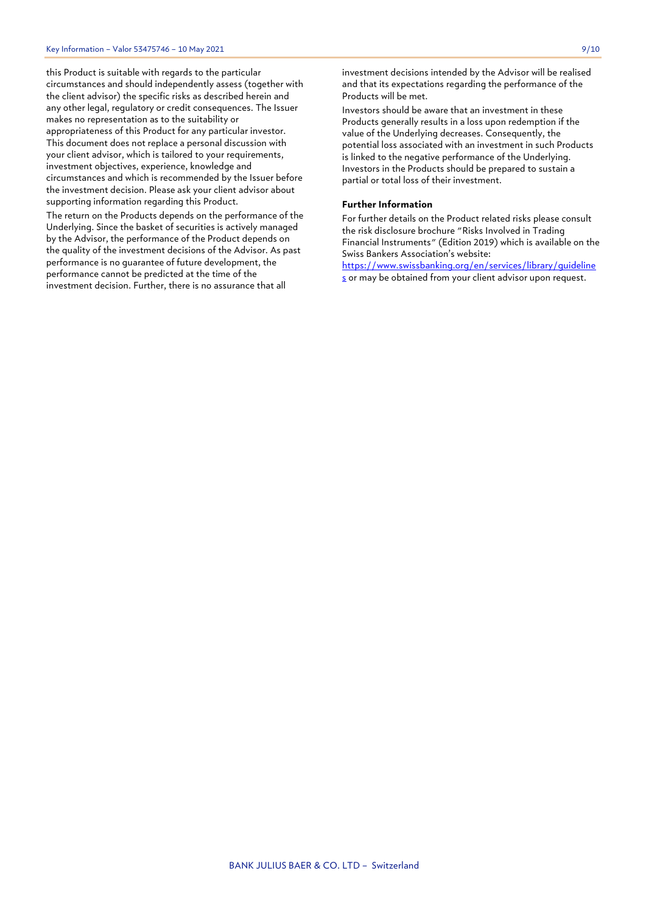this Product is suitable with regards to the particular circumstances and should independently assess (together with the client advisor) the specific risks as described herein and any other legal, regulatory or credit consequences. The Issuer makes no representation as to the suitability or appropriateness of this Product for any particular investor. This document does not replace a personal discussion with your client advisor, which is tailored to your requirements, investment objectives, experience, knowledge and circumstances and which is recommended by the Issuer before the investment decision. Please ask your client advisor about supporting information regarding this Product.

The return on the Products depends on the performance of the Underlying. Since the basket of securities is actively managed by the Advisor, the performance of the Product depends on the quality of the investment decisions of the Advisor. As past performance is no guarantee of future development, the performance cannot be predicted at the time of the investment decision. Further, there is no assurance that all

Investors should be aware that an investment in these Products generally results in a loss upon redemption if the value of the Underlying decreases. Consequently, the potential loss associated with an investment in such Products is linked to the negative performance of the Underlying. Investors in the Products should be prepared to sustain a partial or total loss of their investment.

## **Further Information**

For further details on the Product related risks please consult the risk disclosure brochure "Risks Involved in Trading Financial Instruments" (Edition 2019) which is available on the Swiss Bankers Association's website:

[https://www.swissbanking.org/en/services/library/guideline](https://www.swissbanking.org/en/services/library/guidelines) [s](https://www.swissbanking.org/en/services/library/guidelines) or may be obtained from your client advisor upon request.